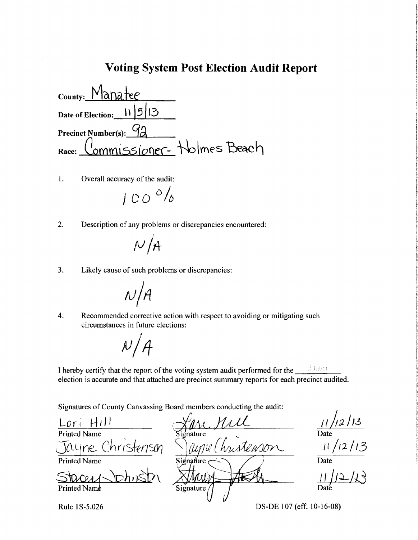#### **Voting System Post Election Audit Report**

 $_{\text{Country:}}$  Manatee Date of Election:  $|1|5|13$ Precinct Number(s): 92  $Race:$  Commissioner-  $\frac{1}{2}$ ,  $\frac{1}{2}$  holmes  $\frac{1}{2}$   $\frac{1}{2}$ 

1. Overall accuracy of the audit:

 $100$   $^{\circ}/_6$ 

2. Description of any problems or discrepancies encountered:

$$
\mathcal{N}/\mathcal{A}
$$

3. Likely cause of such problems or discrepancies:

 $N/A$ 

4. Recommended corrective action with respect to avoiding or mitigating such circumstances in future elections:

 $N/A$ 

I hereby certify that the report of the voting system audit performed for the  $\Box$ election is accurate and that attached are precinct summary reports for each precinct audited.

Signatures of County Canvassing Board members conducting the audit:

Printed Name <u>Lori Hill</u> HilI ~11'JU4  $\frac{11/12/13}{\text{matter}}$   $\frac{11/12/13}{\text{Date}}$ <br> $\frac{11/12/13}{\text{Date}}$   $\frac{11/12/13}{\text{Date}}$  $\bar{x}$ christenson *" ) jupu* (*hustenson* Printed Name Signature  $Staceay$   $\longrightarrow$   $Stawy$   $\longrightarrow$   $H$   $\longrightarrow$   $H$   $\longrightarrow$   $H$  $\frac{11}{100}$ Rule 1S-5.026 DS-DE 107 (eff. 10-16-08)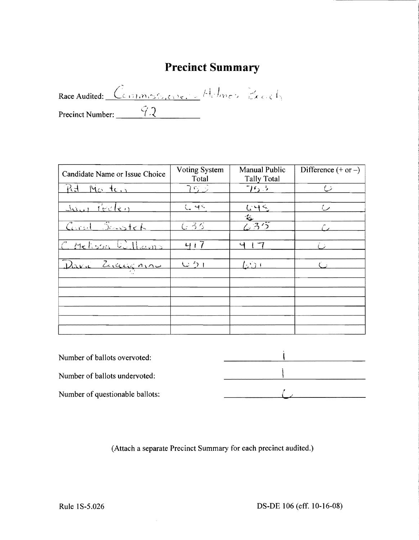# **Precinct Summary**

Race Audited: Commissioner - Holmes Beach Precinct Number:  $\frac{92}{2}$ 

| <b>Voting System</b><br>Total | <b>Manual Public</b><br>Tally Total | Difference $(+ or -)$     |
|-------------------------------|-------------------------------------|---------------------------|
| うらっ                           | 763                                 | イン                        |
|                               |                                     | سيا                       |
|                               |                                     |                           |
| でろう                           |                                     |                           |
| 417                           | 니                                   |                           |
|                               |                                     |                           |
|                               |                                     |                           |
|                               |                                     |                           |
|                               |                                     |                           |
|                               |                                     |                           |
|                               |                                     |                           |
|                               | $C +$<br>じり                         | 645<br>$\sqrt{35}$<br>たらい |

| Number of ballots overvoted:    |  |
|---------------------------------|--|
| Number of ballots undervoted:   |  |
| Number of questionable ballots: |  |

(Attach a separate Precinct Summary for each precinct audited.)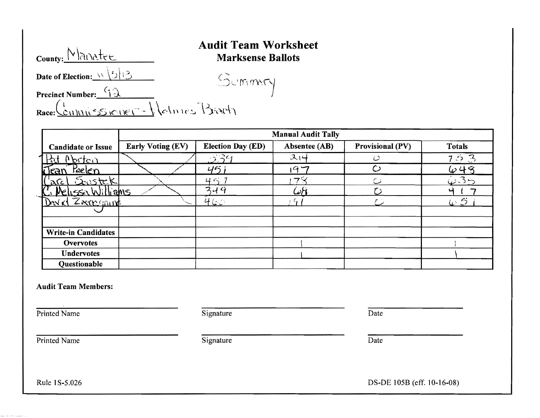| County: Manatee                        | Augh Team wo<br><b>Marksense Ba</b> |
|----------------------------------------|-------------------------------------|
| Date of Election: $\sqrt{\frac{5}{5}}$ | Summary                             |
| Precinct Number: $92$                  |                                     |
| Race: Commissioner - Halmes Brach      |                                     |

#### **Audit Team Worksheet**  Marksense Ballots

|                            |                          |                          | <b>Manual Audit Tally</b> |                      |                   |
|----------------------------|--------------------------|--------------------------|---------------------------|----------------------|-------------------|
| <b>Candidate or Issue</b>  | <b>Early Voting (EV)</b> | <b>Election Day (ED)</b> | Absentee (AB)             | Provisional (PV)     | <b>Totals</b>     |
| <u> Morton</u>             |                          | $-3.39$                  | 314                       | $\ddot{\mathcal{C}}$ | 53                |
| Peelen<br>Tran             |                          | 45                       | 147                       | $\circ$              | 648               |
| <u>Sustek</u><br>'arc      |                          | ロベ                       | 7                         | r s                  | $\dot{\omega}$ 35 |
| <u>Melissa Williams</u>    |                          | 344                      | استمر                     | $\tau$               |                   |
| David Zaccomint            |                          | 460                      | ъ.                        |                      | $\omega$ $S$      |
|                            |                          |                          |                           |                      |                   |
|                            |                          |                          |                           |                      |                   |
| <b>Write-in Candidates</b> |                          |                          |                           |                      |                   |
| <b>Overvotes</b>           |                          |                          |                           |                      |                   |
| <b>Undervotes</b>          |                          |                          |                           |                      |                   |
| <b>Questionable</b>        |                          |                          |                           |                      |                   |

#### Audit Team Members:

Printed Name Date

Printed Name Date

**SPI Professor** 

Rule 1 S-5.026 DS-DE 105B (eff. 10-16-08)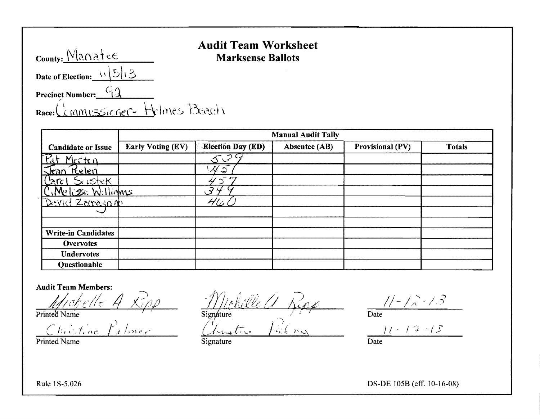| County: $M$ anatee              | $\sim$ |
|---------------------------------|--------|
| Date of Election: $\sqrt{5}/3$  |        |
| Precinct Number: $92$           |        |
| Race: Cemmissioner-Helmes Beach |        |
|                                 |        |

### Audit Team Worksheet Marksense Ballots

|                                           | <b>Manual Audit Tally</b> |                          |               |                         |               |  |
|-------------------------------------------|---------------------------|--------------------------|---------------|-------------------------|---------------|--|
| <b>Candidate or Issue</b>                 | <b>Early Voting (EV)</b>  | <b>Election Day (ED)</b> | Absentee (AB) | <b>Provisional (PV)</b> | <b>Totals</b> |  |
| Pat Merten                                |                           | 53                       |               |                         |               |  |
| $\sqrt{\tan \theta}$<br>Relen             |                           | 4                        |               |                         |               |  |
| xistek<br>Lnc                             |                           |                          |               |                         |               |  |
| $\mathcal{M}$ - $\mathcal{Z}$<br>Williams |                           | 34                       |               |                         |               |  |
| Device Zarrasnich                         |                           | $\cancel{r}$             |               |                         |               |  |
|                                           |                           |                          |               |                         |               |  |
|                                           |                           |                          |               |                         |               |  |
| <b>Write-in Candidates</b>                |                           |                          |               |                         |               |  |
| <b>Overvotes</b>                          |                           |                          |               |                         |               |  |
| <b>Undervotes</b>                         |                           |                          |               |                         |               |  |
| Questionable                              |                           |                          |               |                         |               |  |

Printed Name Date Signature Signature Date

Audit Team Members:<br>http://c//c/lic A Rpp - Mphille a Repp - 11-12-13

Signature Date  $h$ istine  $f$ almer (hustro falmy  $11 \cdot 19 \cdot 15$ 

Rule 1 S-5.026 DS-DE 105B (eff. 10-16-08)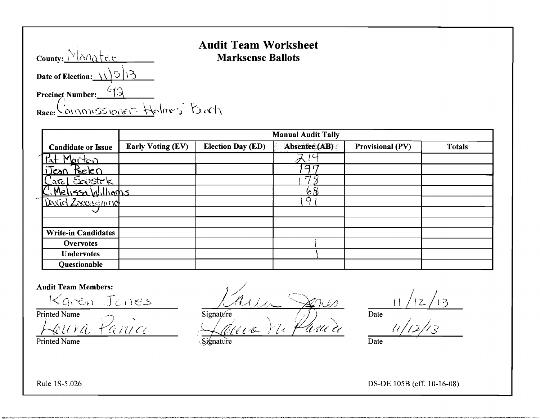| County: Manatee                            | АШШ |
|--------------------------------------------|-----|
| Date of Election: $\sqrt{5/3}$             |     |
| Precinct Number: $\frac{(\cdot)}{(\cdot)}$ |     |
| Race: Commissioner Holmers Barth           |     |

### **Audit Team Worksheet**   $Mark sense$  **Ballots**

|                                                                                                                                                                                                                                                                                                                        | <b>Manual Audit Tally</b> |                          |               |                         |               |  |
|------------------------------------------------------------------------------------------------------------------------------------------------------------------------------------------------------------------------------------------------------------------------------------------------------------------------|---------------------------|--------------------------|---------------|-------------------------|---------------|--|
| <b>Candidate or Issue</b>                                                                                                                                                                                                                                                                                              | <b>Early Voting (EV)</b>  | <b>Election Day (ED)</b> | Absentee (AB) | <b>Provisional (PV)</b> | <b>Totals</b> |  |
| Morton<br>k                                                                                                                                                                                                                                                                                                            |                           |                          |               |                         |               |  |
| iJean Peelen                                                                                                                                                                                                                                                                                                           |                           |                          | 97            |                         |               |  |
| $\frac{1}{2}$ are $\frac{1}{2}$ $\frac{1}{2}$ $\frac{1}{2}$ $\frac{1}{2}$ $\frac{1}{2}$ $\frac{1}{2}$ $\frac{1}{2}$ $\frac{1}{2}$ $\frac{1}{2}$ $\frac{1}{2}$ $\frac{1}{2}$ $\frac{1}{2}$ $\frac{1}{2}$ $\frac{1}{2}$ $\frac{1}{2}$ $\frac{1}{2}$ $\frac{1}{2}$ $\frac{1}{2}$ $\frac{1}{2}$ $\frac{1}{2}$ $\frac{1}{2$ |                           |                          | $\tau$        |                         |               |  |
| <u>: Melissa Williagus</u>                                                                                                                                                                                                                                                                                             |                           |                          | 68            |                         |               |  |
| David Zaccasining                                                                                                                                                                                                                                                                                                      |                           |                          | Q             |                         |               |  |
|                                                                                                                                                                                                                                                                                                                        |                           |                          |               |                         |               |  |
|                                                                                                                                                                                                                                                                                                                        |                           |                          |               |                         |               |  |
| <b>Write-in Candidates</b>                                                                                                                                                                                                                                                                                             |                           |                          |               |                         |               |  |
| <b>Overvotes</b>                                                                                                                                                                                                                                                                                                       |                           |                          |               |                         |               |  |
| <b>Undervotes</b>                                                                                                                                                                                                                                                                                                      |                           |                          |               |                         |               |  |
| <b>Questionable</b>                                                                                                                                                                                                                                                                                                    |                           |                          |               |                         |               |  |

#### **Audit Team Members:**

Printed Name Date Date Contains a Signature Date Date Date

 $\frac{12\pi\epsilon_0}{2\epsilon_0}$   $\frac{1}{\epsilon_0}$   $\frac{1}{\epsilon_1}$   $\frac{1}{\epsilon_2}$   $\frac{1}{\epsilon_1}$   $\frac{1}{\epsilon_2}$   $\frac{1}{\epsilon_1}$   $\frac{1}{\epsilon_2}$   $\frac{1}{\epsilon_1}$   $\frac{1}{\epsilon_2}$   $\frac{1}{\epsilon_1}$   $\frac{1}{\epsilon_2}$   $\frac{1}{\epsilon_1}$   $\frac{1}{\epsilon_2}$   $\frac{1}{\epsilon_1}$   $\frac{1}{\epsilon_2}$   $\frac{1$  $\mathcal{L}(\mathcal{A},\mathcal{A},\mathcal{C})$ 

Printed Name (2002) Date Signature (2003) Signature (2004) Date Jeura Panice Jénico de Pania 11/12/13 Signature *12fl*(/'&-

Rule 1S-5.026 DS-DE 105B (eff. 10-16-08)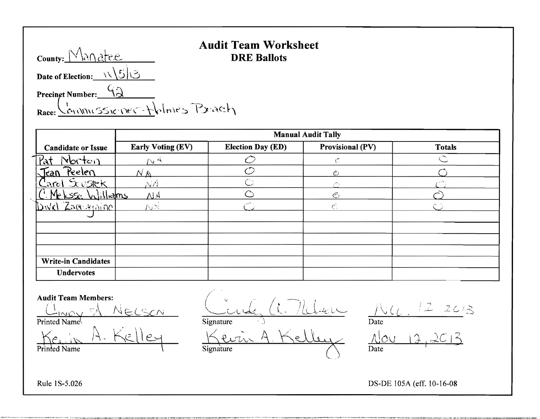| County: Manatee                                    | AUUR I |
|----------------------------------------------------|--------|
| Date of Election: $\sqrt{5/3}$                     |        |
| Precinct Number: $\frac{q_{\lambda}}{q_{\lambda}}$ |        |
| Race: Commussioner-tholmes Pract                   |        |

## **Audit Team Worksheet**   $DRE$  **Ballots**

**Candidate or Issue Manual Audit Tally Early Voting (EV)** Election Day (ED) Provisional (PV) Totals  $r^4$   $r^4$   $r^4$   $r^6$  $\mathcal{L}^{\mathcal{L}}$  $\overline{\mathbb{C}}$ **,lean** ?~e\e(\ *NI0.* 0 €j C)  $\mathsf{Card} \ \mathsf{S}$ custek | NA  $\longrightarrow$  C  $\longrightarrow$  0  $\longrightarrow$   $\longrightarrow$   $\circ$  $P(A \cap B)$   $\leq$   $Q(A)$   $\leq$   $Q(A)$   $\leq$   $Q(A)$   $\leq$   $Q(A)$   $\leq$   $Q(A)$ '1)'.\/(\ 'Z:,u{';:)(.J j '\; nr /\.J >: ('- . c; () ,.J **Write-in Candidates Undervotes** 

 $\begin{array}{ccc} \mathbf{Audit Team Members:} \ \begin{array}{ccc} \text{(1)} & \text{(1)} & \text{(2)} \ \text{(1)} & \text{(2)} & \text{(3)} & \text{(4)} \ \end{array} \end{array}$  $I_{\text{Mov}} \propto \frac{1}{N} \frac{N_{\text{ECSCN}}} {N_{\text{MUSCN}}}$   $\frac{1}{N_{\text{MUSCN}}}$   $\frac{1}{N_{\text{MUSCN}}}$   $\frac{12}{N_{\text{MUSCN}}}$ Printed Name<sup>{</sup> Date Date Date Date Date Date Date  $K$ e. II. Kelley Signature 1) Date Date Date  $A \cdot K$ elley  $\frac{1}{2}$ Kein A. Kelley Kevin A. Kelley No

Rule IS-S.026 DS-DE lOSA (efr. 10-16-08

., \_'.••••• ,\_,~,\_~~~\_,•••.\_••\_.\_...", " •.•• , .............., .....,., *...*"".....,.\_''''~'''<" *...*"'''''.''\_A'''\_ ..,.w.."-......,.,....."'~""''''' ,""",~+~",,,,,,,," \_\_\_\_ ""\_""',,,,,,,,,,,,,,..,,,.... ,,,,...\_\_-,,,\_..~'r.....,,,,,,,,,,\_\_\_, ...... \_.,,,,,,,,,,,,,